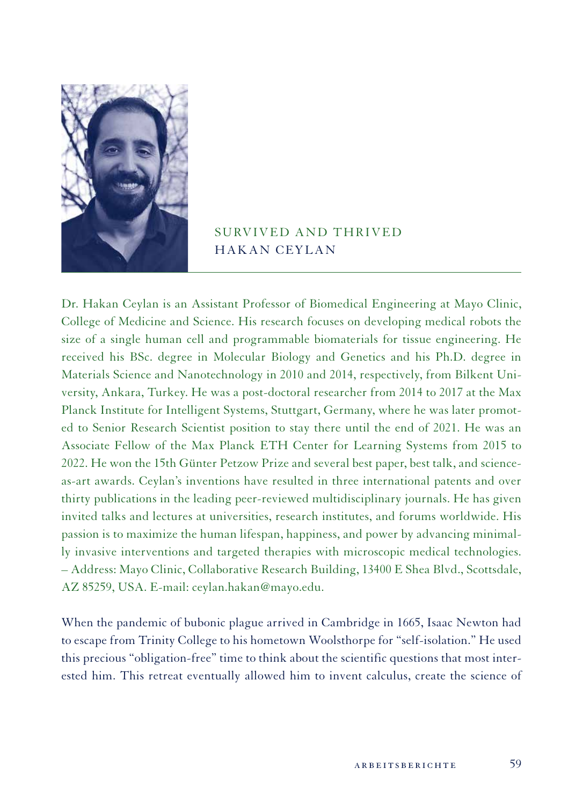

## SURVIVED AND THRIVED HAKAN CEYLAN

Dr. Hakan Ceylan is an Assistant Professor of Biomedical Engineering at Mayo Clinic, College of Medicine and Science. His research focuses on developing medical robots the size of a single human cell and programmable biomaterials for tissue engineering. He received his BSc. degree in Molecular Biology and Genetics and his Ph.D. degree in Materials Science and Nanotechnology in 2010 and 2014, respectively, from Bilkent University, Ankara, Turkey. He was a post-doctoral researcher from 2014 to 2017 at the Max Planck Institute for Intelligent Systems, Stuttgart, Germany, where he was later promoted to Senior Research Scientist position to stay there until the end of 2021. He was an Associate Fellow of the Max Planck ETH Center for Learning Systems from 2015 to 2022. He won the 15th Günter Petzow Prize and several best paper, best talk, and scienceas-art awards. Ceylan's inventions have resulted in three international patents and over thirty publications in the leading peer-reviewed multidisciplinary journals. He has given invited talks and lectures at universities, research institutes, and forums worldwide. His passion is to maximize the human lifespan, happiness, and power by advancing minimally invasive interventions and targeted therapies with microscopic medical technologies. – Address: Mayo Clinic, Collaborative Research Building, 13400 E Shea Blvd., Scottsdale, AZ 85259, USA. E-mail: ceylan.hakan@mayo.edu.

When the pandemic of bubonic plague arrived in Cambridge in 1665, Isaac Newton had to escape from Trinity College to his hometown Woolsthorpe for "self-isolation." He used this precious "obligation-free" time to think about the scientific questions that most interested him. This retreat eventually allowed him to invent calculus, create the science of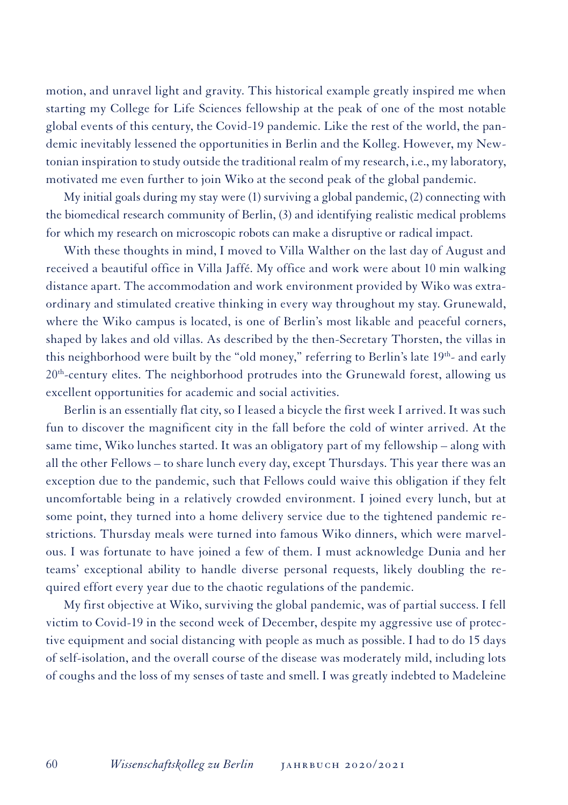motion, and unravel light and gravity. This historical example greatly inspired me when starting my College for Life Sciences fellowship at the peak of one of the most notable global events of this century, the Covid-19 pandemic. Like the rest of the world, the pandemic inevitably lessened the opportunities in Berlin and the Kolleg. However, my Newtonian inspiration to study outside the traditional realm of my research, i.e., my laboratory, motivated me even further to join Wiko at the second peak of the global pandemic.

My initial goals during my stay were (1) surviving a global pandemic, (2) connecting with the biomedical research community of Berlin, (3) and identifying realistic medical problems for which my research on microscopic robots can make a disruptive or radical impact.

With these thoughts in mind, I moved to Villa Walther on the last day of August and received a beautiful office in Villa Jaffé. My office and work were about 10 min walking distance apart. The accommodation and work environment provided by Wiko was extraordinary and stimulated creative thinking in every way throughout my stay. Grunewald, where the Wiko campus is located, is one of Berlin's most likable and peaceful corners, shaped by lakes and old villas. As described by the then-Secretary Thorsten, the villas in this neighborhood were built by the "old money," referring to Berlin's late  $19<sup>th</sup>$ - and early 20th-century elites. The neighborhood protrudes into the Grunewald forest, allowing us excellent opportunities for academic and social activities.

Berlin is an essentially flat city, so I leased a bicycle the first week I arrived. It was such fun to discover the magnificent city in the fall before the cold of winter arrived. At the same time, Wiko lunches started. It was an obligatory part of my fellowship – along with all the other Fellows – to share lunch every day, except Thursdays. This year there was an exception due to the pandemic, such that Fellows could waive this obligation if they felt uncomfortable being in a relatively crowded environment. I joined every lunch, but at some point, they turned into a home delivery service due to the tightened pandemic restrictions. Thursday meals were turned into famous Wiko dinners, which were marvelous. I was fortunate to have joined a few of them. I must acknowledge Dunia and her teams' exceptional ability to handle diverse personal requests, likely doubling the required effort every year due to the chaotic regulations of the pandemic.

My first objective at Wiko, surviving the global pandemic, was of partial success. I fell victim to Covid-19 in the second week of December, despite my aggressive use of protective equipment and social distancing with people as much as possible. I had to do 15 days of self-isolation, and the overall course of the disease was moderately mild, including lots of coughs and the loss of my senses of taste and smell. I was greatly indebted to Madeleine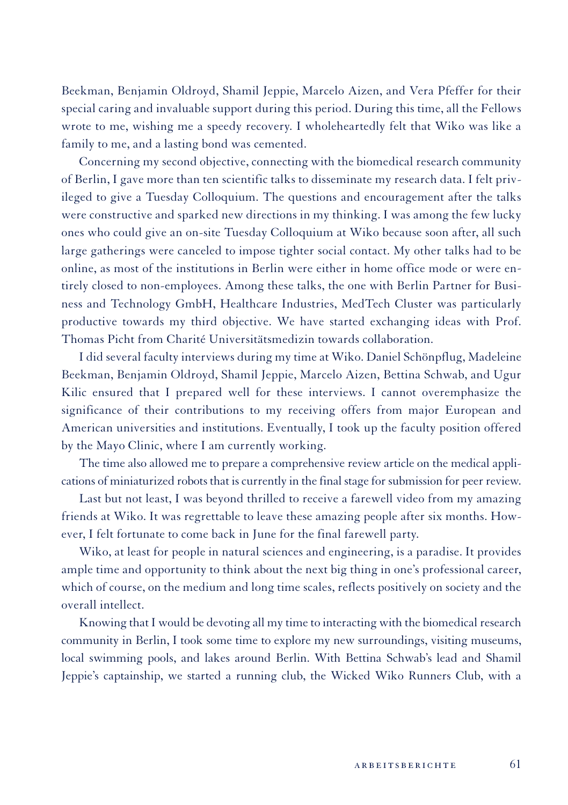Beekman, Benjamin Oldroyd, Shamil Jeppie, Marcelo Aizen, and Vera Pfeffer for their special caring and invaluable support during this period. During this time, all the Fellows wrote to me, wishing me a speedy recovery. I wholeheartedly felt that Wiko was like a family to me, and a lasting bond was cemented.

Concerning my second objective, connecting with the biomedical research community of Berlin, I gave more than ten scientific talks to disseminate my research data. I felt privileged to give a Tuesday Colloquium. The questions and encouragement after the talks were constructive and sparked new directions in my thinking. I was among the few lucky ones who could give an on-site Tuesday Colloquium at Wiko because soon after, all such large gatherings were canceled to impose tighter social contact. My other talks had to be online, as most of the institutions in Berlin were either in home office mode or were entirely closed to non-employees. Among these talks, the one with Berlin Partner for Business and Technology GmbH, Healthcare Industries, MedTech Cluster was particularly productive towards my third objective. We have started exchanging ideas with Prof. Thomas Picht from Charité Universitätsmedizin towards collaboration.

I did several faculty interviews during my time at Wiko. Daniel Schönpflug, Madeleine Beekman, Benjamin Oldroyd, Shamil Jeppie, Marcelo Aizen, Bettina Schwab, and Ugur Kilic ensured that I prepared well for these interviews. I cannot overemphasize the significance of their contributions to my receiving offers from major European and American universities and institutions. Eventually, I took up the faculty position offered by the Mayo Clinic, where I am currently working.

The time also allowed me to prepare a comprehensive review article on the medical applications of miniaturized robots that is currently in the final stage for submission for peer review.

Last but not least, I was beyond thrilled to receive a farewell video from my amazing friends at Wiko. It was regrettable to leave these amazing people after six months. However, I felt fortunate to come back in June for the final farewell party.

Wiko, at least for people in natural sciences and engineering, is a paradise. It provides ample time and opportunity to think about the next big thing in one's professional career, which of course, on the medium and long time scales, reflects positively on society and the overall intellect.

Knowing that I would be devoting all my time to interacting with the biomedical research community in Berlin, I took some time to explore my new surroundings, visiting museums, local swimming pools, and lakes around Berlin. With Bettina Schwab's lead and Shamil Jeppie's captainship, we started a running club, the Wicked Wiko Runners Club, with a